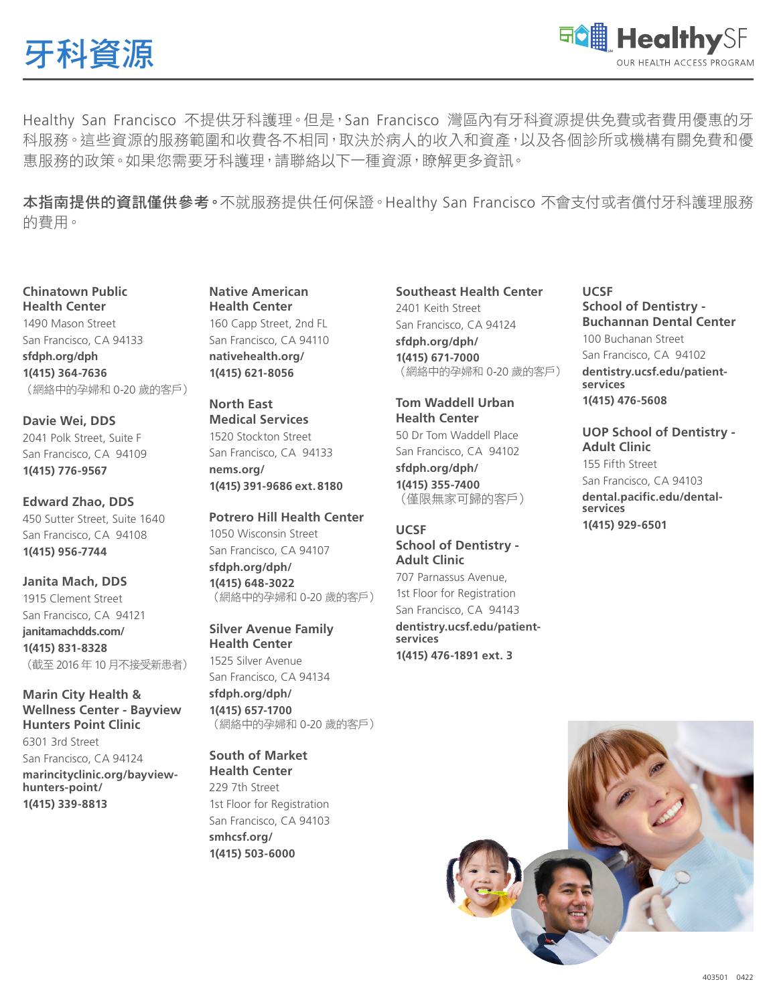



Healthy San Francisco 不提供牙科護理。但是, San Francisco 灣區內有牙科資源提供免費或者費用優惠的牙 科服務。這些資源的服務範圍和收費各不相同,取決於病人的收入和資產,以及各個診所或機構有關免費和優 惠服務的政策。如果您需要牙科護理,請聯絡以下一種資源,瞭解更多資訊。

本指南提供的資訊僅供參考。不就服務提供任何保證。Healthy San Francisco 不會支付或者償付牙科護理服務 的費用。

**Chinatown Public Health Center** 1490 Mason Street San Francisco, CA 94133 **sfdph.org/dph 1(415) 364-7636** (網絡中的孕婦和 0-20 歲的客戶)

**Davie Wei, DDS** 2041 Polk Street, Suite F San Francisco, CA 94109 **1(415) 776-9567**

**Edward Zhao, DDS** 450 Sutter Street, Suite 1640 San Francisco, CA 94108 **1(415) 956-7744**

**Janita Mach, DDS** 1915 Clement Street San Francisco, CA 94121 **janitamachdds.com/ 1(415) 831-8328** (截至 2016 年 10 月不接受新患者)

**Marin City Health & Wellness Center - Bayview Hunters Point Clinic** 6301 3rd Street

San Francisco, CA 94124 **marincityclinic.org/bayviewhunters-point/ 1(415) 339-8813**

**Native American Health Center** 160 Capp Street, 2nd FL San Francisco, CA 94110 **nativehealth.org/ 1(415) 621-8056**

**North East Medical Services** 1520 Stockton Street San Francisco, CA 94133 **nems.org/ 1(415) 391-9686 ext.8180**

**Potrero Hill Health Center** 1050 Wisconsin Street San Francisco, CA 94107 **sfdph.org/dph/ 1(415) 648-3022** (網絡中的孕婦和 0-20 歲的客戶)

**Silver Avenue Family Health Center** 1525 Silver Avenue San Francisco, CA 94134 **sfdph.org/dph/ 1(415) 657-1700** (網絡中的孕婦和 0-20 歲的客戶)

## **South of Market Health Center** 229 7th Street

1st Floor for Registration San Francisco, CA 94103 **smhcsf.org/ 1(415) 503-6000**

**Southeast Health Center** 2401 Keith Street

San Francisco, CA 94124 **sfdph.org/dph/ 1(415) 671-7000** (網絡中的孕婦和 0-20 歲的客戶)

**Tom Waddell Urban Health Center** 50 Dr Tom Waddell Place San Francisco, CA 94102 **sfdph.org/dph/**

**1(415) 355-7400** (僅限無家可歸的客戶)

## **UCSF School of Dentistry - Adult Clinic** 707 Parnassus Avenue,

1st Floor for Registration San Francisco, CA 94143 **dentistry.ucsf.edu/patientservices 1(415) 476-1891 ext. 3**

## **UCSF School of Dentistry - Buchannan Dental Center** 100 Buchanan Street San Francisco, CA 94102 **dentistry.ucsf.edu/patientservices 1(415) 476-5608**

**UOP School of Dentistry - Adult Clinic** 155 Fifth Street San Francisco, CA 94103 **dental.pacific.edu/dentalservices 1(415) 929-6501**